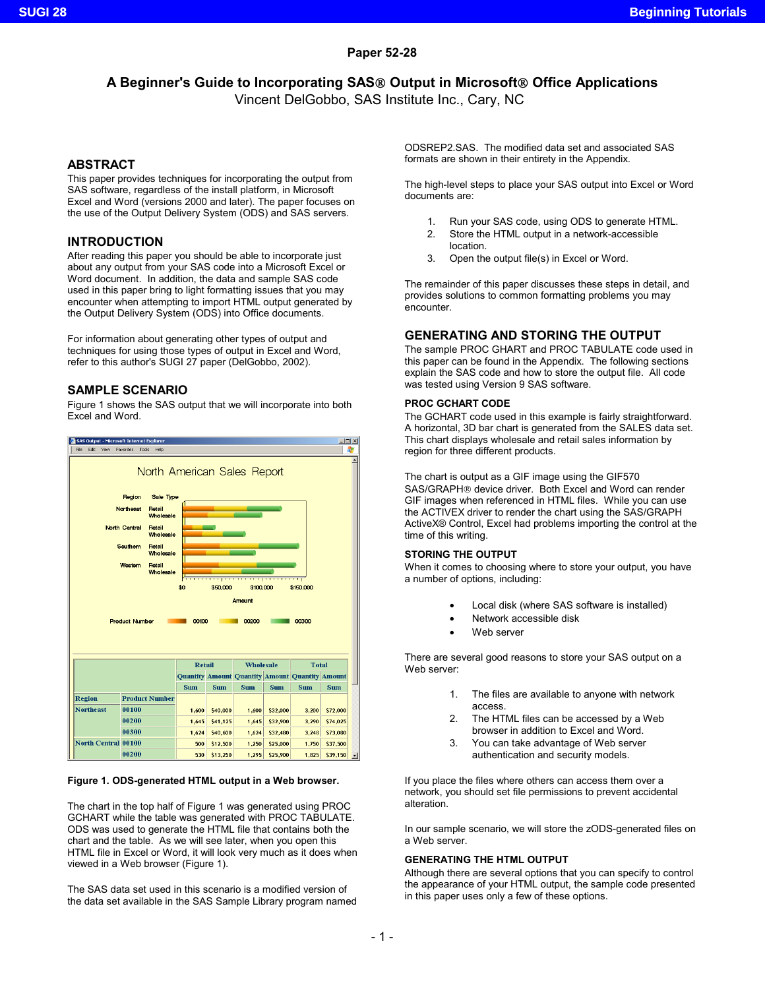## **Paper 52-28**

# **A Beginner's Guide to Incorporating SAS Output in Microsoft Office Applications**

Vincent DelGobbo, SAS Institute Inc., Cary, NC

## **ABSTRACT**

This paper provides techniques for incorporating the output from SAS software, regardless of the install platform, in Microsoft Excel and Word (versions 2000 and later). The paper focuses on the use of the Output Delivery System (ODS) and SAS servers.

## **INTRODUCTION**

After reading this paper you should be able to incorporate just about any output from your SAS code into a Microsoft Excel or Word document. In addition, the data and sample SAS code used in this paper bring to light formatting issues that you may encounter when attempting to import HTML output generated by the Output Delivery System (ODS) into Office documents.

For information about generating other types of output and techniques for using those types of output in Excel and Word, refer to this author's SUGI 27 paper (DelGobbo, 2002).

## **SAMPLE SCENARIO**

Figure 1 shows the SAS output that we will incorporate into both Excel and Word.



### **Figure 1. ODS-generated HTML output in a Web browser.**

The chart in the top half of Figure 1 was generated using PROC GCHART while the table was generated with PROC TABULATE. ODS was used to generate the HTML file that contains both the chart and the table. As we will see later, when you open this HTML file in Excel or Word, it will look very much as it does when viewed in a Web browser (Figure 1).

The SAS data set used in this scenario is a modified version of the data set available in the SAS Sample Library program named ODSREP2.SAS. The modified data set and associated SAS formats are shown in their entirety in the Appendix.

The high-level steps to place your SAS output into Excel or Word documents are:

- 1. Run your SAS code, using ODS to generate HTML.
- 2. Store the HTML output in a network-accessible location.
- 3. Open the output file(s) in Excel or Word.

The remainder of this paper discusses these steps in detail, and provides solutions to common formatting problems you may encounter.

## **GENERATING AND STORING THE OUTPUT**

The sample PROC GHART and PROC TABULATE code used in this paper can be found in the Appendix. The following sections explain the SAS code and how to store the output file. All code was tested using Version 9 SAS software.

### **PROC GCHART CODE**

The GCHART code used in this example is fairly straightforward. A horizontal, 3D bar chart is generated from the SALES data set. This chart displays wholesale and retail sales information by region for three different products.

The chart is output as a GIF image using the GIF570 SAS/GRAPH<sup>®</sup> device driver. Both Excel and Word can render GIF images when referenced in HTML files. While you can use the ACTIVEX driver to render the chart using the SAS/GRAPH ActiveX® Control, Excel had problems importing the control at the time of this writing.

## **STORING THE OUTPUT**

When it comes to choosing where to store your output, you have a number of options, including:

- Local disk (where SAS software is installed)
- Network accessible disk
- Web server

There are several good reasons to store your SAS output on a Web server:

- 1. The files are available to anyone with network access.
- 2. The HTML files can be accessed by a Web browser in addition to Excel and Word.
- 3. You can take advantage of Web server authentication and security models.

If you place the files where others can access them over a network, you should set file permissions to prevent accidental alteration.

In our sample scenario, we will store the zODS-generated files on a Web server.

### **GENERATING THE HTML OUTPUT**

Although there are several options that you can specify to control the appearance of your HTML output, the sample code presented in this paper uses only a few of these options.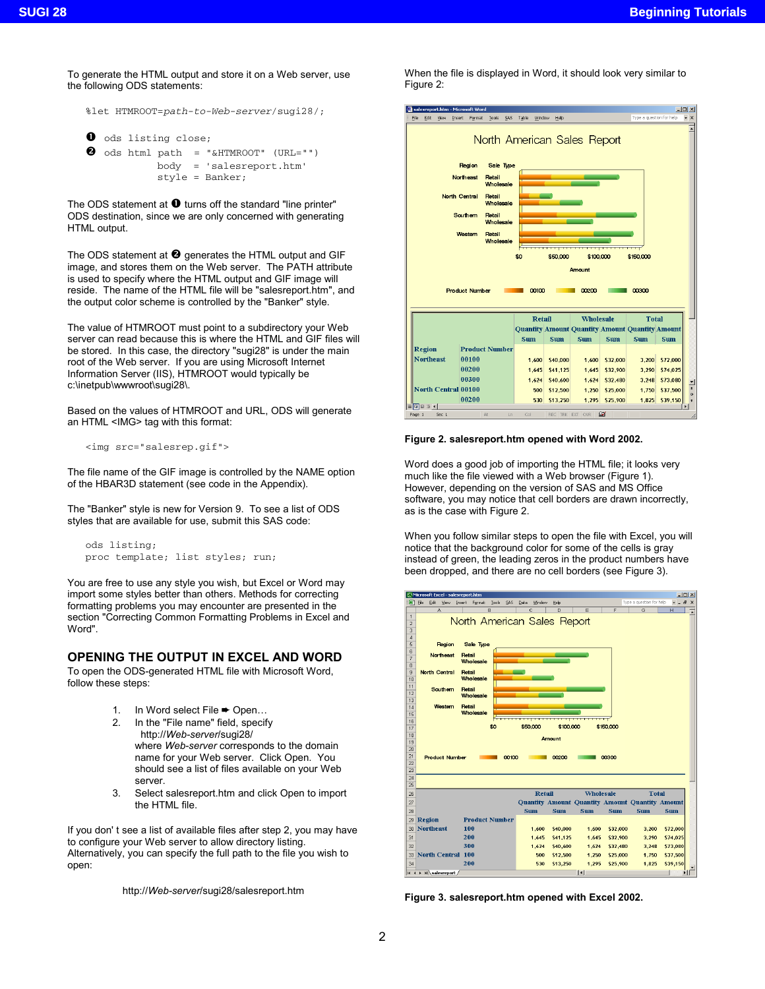To generate the HTML output and store it on a Web server, use the following ODS statements:

```
%let HTMROOT=path-to-Web-server/sugi28/;
```

```
\bullet ods listing close;
\bm{e} ods html path = "&HTMROOT" (URL="")
```
body = 'salesreport.htm' style = Banker;

The ODS statement at  $\bullet$  turns off the standard "line printer" ODS destination, since we are only concerned with generating HTML output.

The ODS statement at  $\bullet$  generates the HTML output and GIF image, and stores them on the Web server. The PATH attribute is used to specify where the HTML output and GIF image will reside. The name of the HTML file will be "salesreport.htm", and the output color scheme is controlled by the "Banker" style.

The value of HTMROOT must point to a subdirectory your Web server can read because this is where the HTML and GIF files will be stored. In this case, the directory "sugi28" is under the main root of the Web server. If you are using Microsoft Internet Information Server (IIS), HTMROOT would typically be c:\inetpub\wwwroot\sugi28\.

Based on the values of HTMROOT and URL, ODS will generate an HTML <IMG> tag with this format:

```
<img src="salesrep.gif">
```
The file name of the GIF image is controlled by the NAME option of the HBAR3D statement (see code in the Appendix).

The "Banker" style is new for Version 9. To see a list of ODS styles that are available for use, submit this SAS code:

```
ods listing;
proc template; list styles; run;
```
You are free to use any style you wish, but Excel or Word may import some styles better than others. Methods for correcting formatting problems you may encounter are presented in the section "Correcting Common Formatting Problems in Excel and Word".

# **OPENING THE OUTPUT IN EXCEL AND WORD**

To open the ODS-generated HTML file with Microsoft Word, follow these steps:

- 1. In Word select File ➨ Open…
- 2. In the "File name" field, specify http://*Web-server*/sugi28/ where *Web-server* corresponds to the domain name for your Web server. Click Open. You should see a list of files available on your Web server.
- 3. Select salesreport.htm and click Open to import the HTML file.

If you don' t see a list of available files after step 2, you may have to configure your Web server to allow directory listing. Alternatively, you can specify the full path to the file you wish to open:

http://*Web-server*/sugi28/salesreport.htm

When the file is displayed in Word, it should look very similar to Figure 2:



### **Figure 2. salesreport.htm opened with Word 2002.**

Word does a good job of importing the HTML file; it looks very much like the file viewed with a Web browser (Figure 1). However, depending on the version of SAS and MS Office software, you may notice that cell borders are drawn incorrectly, as is the case with Figure 2.

When you follow similar steps to open the file with Excel, you will notice that the background color for some of the cells is gray instead of green, the leading zeros in the product numbers have been dropped, and there are no cell borders (see Figure 3).



**Figure 3. salesreport.htm opened with Excel 2002.**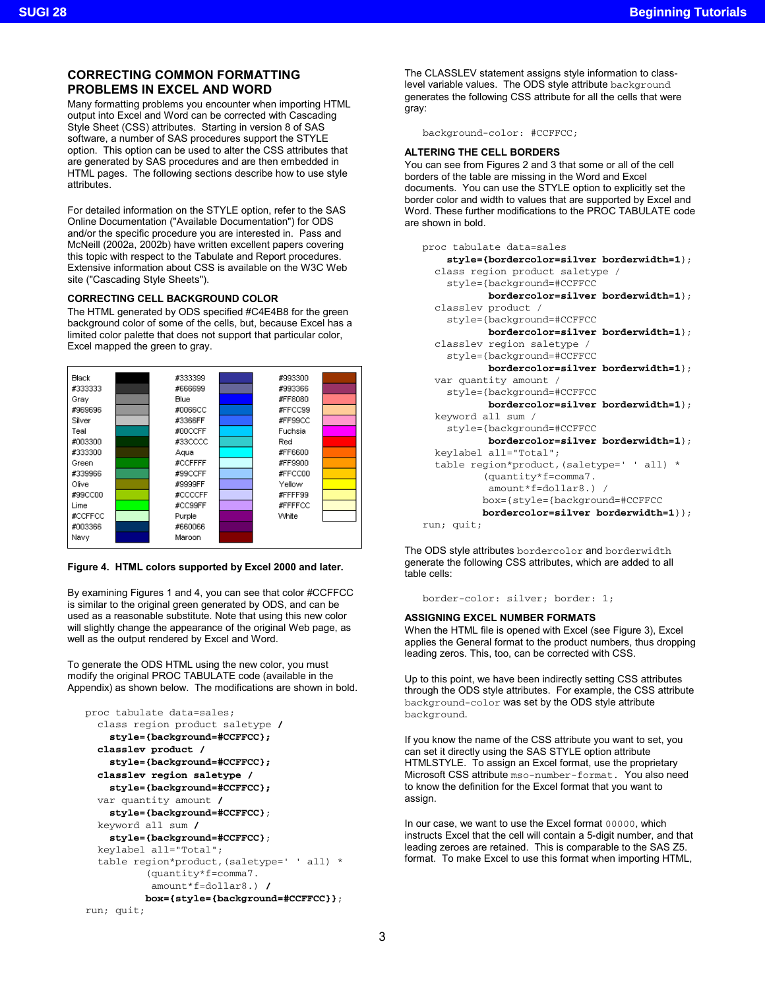# **CORRECTING COMMON FORMATTING PROBLEMS IN EXCEL AND WORD**

Many formatting problems you encounter when importing HTML output into Excel and Word can be corrected with Cascading Style Sheet (CSS) attributes. Starting in version 8 of SAS software, a number of SAS procedures support the STYLE option. This option can be used to alter the CSS attributes that are generated by SAS procedures and are then embedded in HTML pages. The following sections describe how to use style attributes<sup>1</sup>

For detailed information on the STYLE option, refer to the SAS Online Documentation ("Available Documentation") for ODS and/or the specific procedure you are interested in. Pass and McNeill (2002a, 2002b) have written excellent papers covering this topic with respect to the Tabulate and Report procedures. Extensive information about CSS is available on the W3C Web site ("Cascading Style Sheets").

## **CORRECTING CELL BACKGROUND COLOR**

The HTML generated by ODS specified #C4E4B8 for the green background color of some of the cells, but, because Excel has a limited color palette that does not support that particular color, Excel mapped the green to gray.



## **Figure 4. HTML colors supported by Excel 2000 and later.**

By examining Figures 1 and 4, you can see that color #CCFFCC is similar to the original green generated by ODS, and can be used as a reasonable substitute. Note that using this new color will slightly change the appearance of the original Web page, as well as the output rendered by Excel and Word.

To generate the ODS HTML using the new color, you must modify the original PROC TABULATE code (available in the Appendix) as shown below. The modifications are shown in bold.

```
proc tabulate data=sales;
  class region product saletype /
    style={background=#CCFFCC};
  classlev product /
    style={background=#CCFFCC};
  classlev region saletype /
    style={background=#CCFFCC};
  var quantity amount /
    style={background=#CCFFCC};
  keyword all sum /
    style={background=#CCFFCC};
  keylabel all="Total";
  table region*product,(saletype=' ' all) *
          (quantity*f=comma7.
           amount*f=dollar8.) /
          box={style={background=#CCFFCC}};
run; quit;
```
The CLASSLEV statement assigns style information to classlevel variable values. The ODS style attribute background generates the following CSS attribute for all the cells that were gray:

background-color: #CCFFCC;

### **ALTERING THE CELL BORDERS**

You can see from Figures 2 and 3 that some or all of the cell borders of the table are missing in the Word and Excel documents. You can use the STYLE option to explicitly set the border color and width to values that are supported by Excel and Word. These further modifications to the PROC TABULATE code are shown in bold.

```
proc tabulate data=sales
    style={bordercolor=silver borderwidth=1};
  class region product saletype /
    style={background=#CCFFCC
           bordercolor=silver borderwidth=1};
  classlev product /
    style={background=#CCFFCC
           bordercolor=silver borderwidth=1};
  classlev region saletype /
    style={background=#CCFFCC
           bordercolor=silver borderwidth=1};
  var quantity amount /
    style={background=#CCFFCC
           bordercolor=silver borderwidth=1};
  keyword all sum /
    style={background=#CCFFCC
           bordercolor=silver borderwidth=1};
  keylabel all="Total";
  table region*product,(saletype=' ' all) *
          (quantity*f=comma7.
           amount*f=dollar8.) /
          box={style={background=#CCFFCC
          bordercolor=silver borderwidth=1}};
run; quit;
```
The ODS style attributes bordercolor and borderwidth generate the following CSS attributes, which are added to all table cells:

border-color: silver; border: 1;

### **ASSIGNING EXCEL NUMBER FORMATS**

When the HTML file is opened with Excel (see Figure 3), Excel applies the General format to the product numbers, thus dropping leading zeros. This, too, can be corrected with CSS.

Up to this point, we have been indirectly setting CSS attributes through the ODS style attributes. For example, the CSS attribute background-color was set by the ODS style attribute background.

If you know the name of the CSS attribute you want to set, you can set it directly using the SAS STYLE option attribute HTMLSTYLE. To assign an Excel format, use the proprietary Microsoft CSS attribute mso-number-format. You also need to know the definition for the Excel format that you want to assign.

In our case, we want to use the Excel format 00000, which instructs Excel that the cell will contain a 5-digit number, and that leading zeroes are retained. This is comparable to the SAS Z5. format. To make Excel to use this format when importing HTML,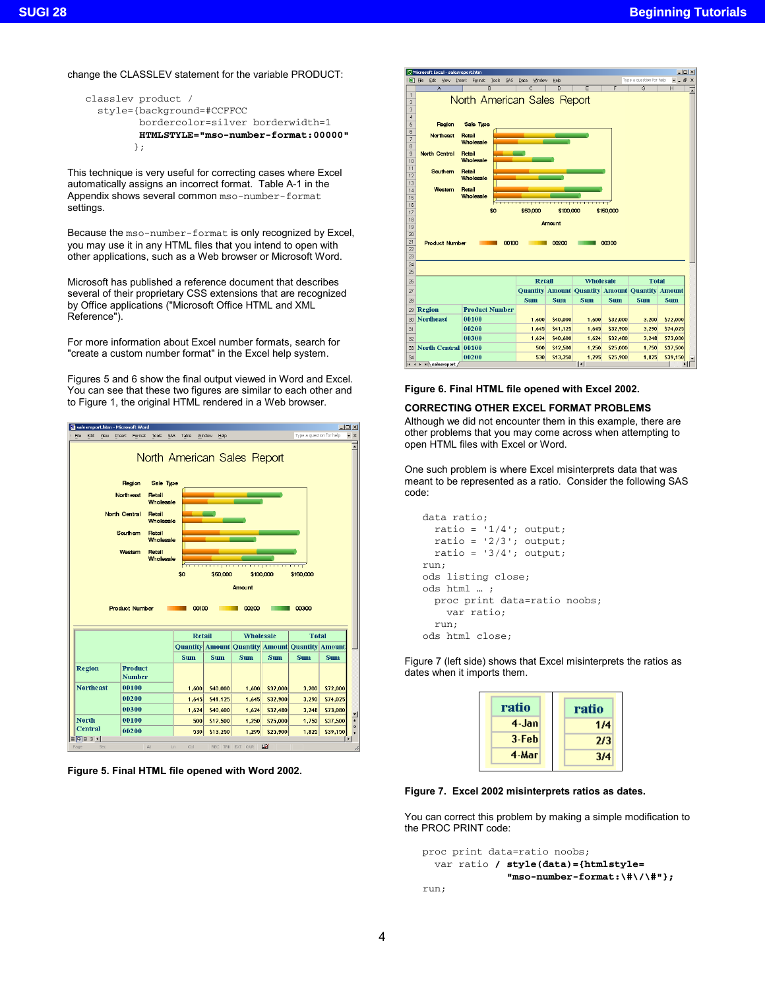change the CLASSLEV statement for the variable PRODUCT:

```
classlev product /
  style={background=#CCFFCC
         bordercolor=silver borderwidth=1
         HTMLSTYLE="mso-number-format:00000"
        };
```
This technique is very useful for correcting cases where Excel automatically assigns an incorrect format. Table A-1 in the Appendix shows several common mso-number-format settings.

Because the mso-number-format is only recognized by Excel, you may use it in any HTML files that you intend to open with other applications, such as a Web browser or Microsoft Word.

Microsoft has published a reference document that describes several of their proprietary CSS extensions that are recognized by Office applications ("Microsoft Office HTML and XML Reference").

For more information about Excel number formats, search for "create a custom number format" in the Excel help system.

Figures 5 and 6 show the final output viewed in Word and Excel. You can see that these two figures are similar to each other and to Figure 1, the original HTML rendered in a Web browser.



**Figure 5. Final HTML file opened with Word 2002.**



#### **Figure 6. Final HTML file opened with Excel 2002.**

#### **CORRECTING OTHER EXCEL FORMAT PROBLEMS**

Although we did not encounter them in this example, there are other problems that you may come across when attempting to open HTML files with Excel or Word.

One such problem is where Excel misinterprets data that was meant to be represented as a ratio. Consider the following SAS code:

```
data ratio;
  ratio = '1/4; output;
  ratio = '2/3'; output;
  ratio = '3/4'; output;
run;
ods listing close;
ods html … ;
 proc print data=ratio noobs;
    var ratio;
  run;
ods html close;
```
Figure 7 (left side) shows that Excel misinterprets the ratios as dates when it imports them.

| ratio | ratio |
|-------|-------|
| 4-Jan | 1/4   |
| 3-Feb | 2/3   |
| 4-Mar | 3/4   |

### **Figure 7. Excel 2002 misinterprets ratios as dates.**

You can correct this problem by making a simple modification to the PROC PRINT code:

```
proc print data=ratio noobs;
  var ratio / style(data)={htmlstyle=
              "mso-number-format:\#\/\#"};
run;
```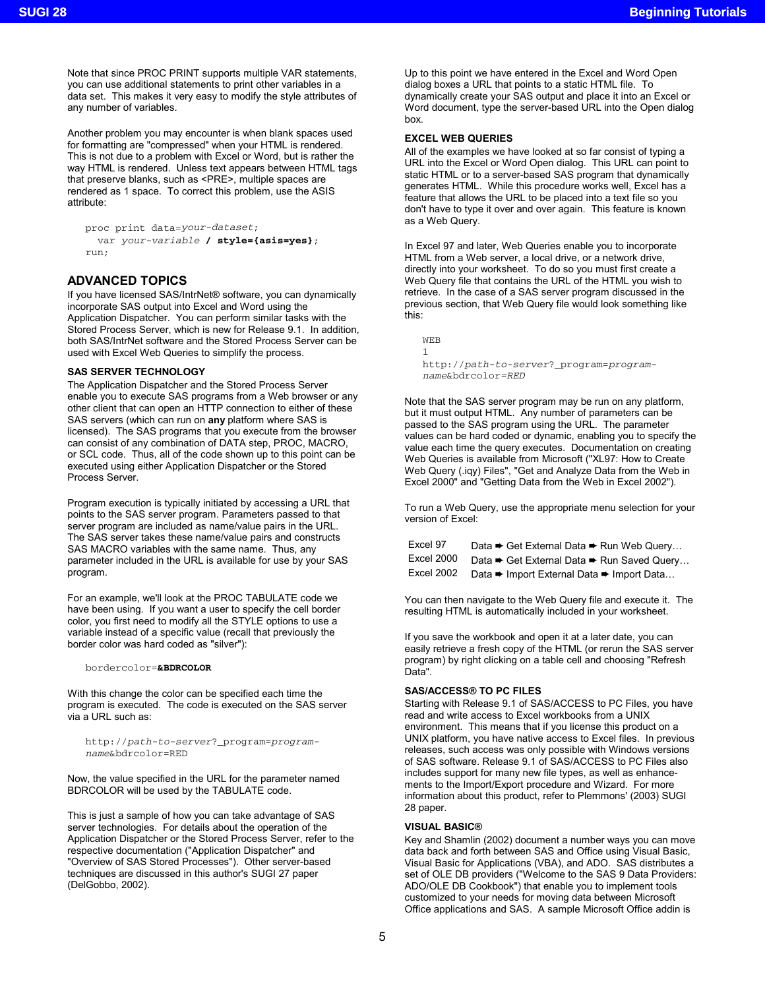Note that since PROC PRINT supports multiple VAR statements, you can use additional statements to print other variables in a data set. This makes it very easy to modify the style attributes of any number of variables.

Another problem you may encounter is when blank spaces used for formatting are "compressed" when your HTML is rendered. This is not due to a problem with Excel or Word, but is rather the way HTML is rendered. Unless text appears between HTML tags that preserve blanks, such as <PRE>, multiple spaces are rendered as 1 space. To correct this problem, use the ASIS attribute:

```
proc print data=your-dataset;
  var your-variable / style={asis=yes};
run;
```
## **ADVANCED TOPICS**

If you have licensed SAS/IntrNet® software, you can dynamically incorporate SAS output into Excel and Word using the Application Dispatcher. You can perform similar tasks with the Stored Process Server, which is new for Release 9.1. In addition, both SAS/IntrNet software and the Stored Process Server can be used with Excel Web Queries to simplify the process.

#### **SAS SERVER TECHNOLOGY**

The Application Dispatcher and the Stored Process Server enable you to execute SAS programs from a Web browser or any other client that can open an HTTP connection to either of these SAS servers (which can run on **any** platform where SAS is licensed). The SAS programs that you execute from the browser can consist of any combination of DATA step, PROC, MACRO, or SCL code. Thus, all of the code shown up to this point can be executed using either Application Dispatcher or the Stored Process Server.

Program execution is typically initiated by accessing a URL that points to the SAS server program. Parameters passed to that server program are included as name/value pairs in the URL. The SAS server takes these name/value pairs and constructs SAS MACRO variables with the same name. Thus, any parameter included in the URL is available for use by your SAS program.

For an example, we'll look at the PROC TABULATE code we have been using. If you want a user to specify the cell border color, you first need to modify all the STYLE options to use a variable instead of a specific value (recall that previously the border color was hard coded as "silver"):

#### bordercolor=**&BDRCOLOR**

With this change the color can be specified each time the program is executed. The code is executed on the SAS server via a URL such as:

http://path-to-server?\_program=programname&bdrcolor=RED

Now, the value specified in the URL for the parameter named BDRCOLOR will be used by the TABULATE code.

This is just a sample of how you can take advantage of SAS server technologies. For details about the operation of the Application Dispatcher or the Stored Process Server, refer to the respective documentation ("Application Dispatcher" and "Overview of SAS Stored Processes"). Other server-based techniques are discussed in this author's SUGI 27 paper (DelGobbo, 2002).

Up to this point we have entered in the Excel and Word Open dialog boxes a URL that points to a static HTML file. To dynamically create your SAS output and place it into an Excel or Word document, type the server-based URL into the Open dialog box.

#### **EXCEL WEB QUERIES**

All of the examples we have looked at so far consist of typing a URL into the Excel or Word Open dialog. This URL can point to static HTML or to a server-based SAS program that dynamically generates HTML. While this procedure works well, Excel has a feature that allows the URL to be placed into a text file so you don't have to type it over and over again. This feature is known as a Web Query.

In Excel 97 and later, Web Queries enable you to incorporate HTML from a Web server, a local drive, or a network drive, directly into your worksheet. To do so you must first create a Web Query file that contains the URL of the HTML you wish to retrieve. In the case of a SAS server program discussed in the previous section, that Web Query file would look something like this:

WEB 1 http://path-to-server?\_program=programname&bdrcolor=RED

Note that the SAS server program may be run on any platform, but it must output HTML. Any number of parameters can be passed to the SAS program using the URL. The parameter values can be hard coded or dynamic, enabling you to specify the value each time the query executes. Documentation on creating Web Queries is available from Microsoft ("XL97: How to Create Web Query (.iqy) Files", "Get and Analyze Data from the Web in Excel 2000" and "Getting Data from the Web in Excel 2002").

To run a Web Query, use the appropriate menu selection for your version of Excel:

| Excel 97   | Data → Get External Data → Run Web Query   |
|------------|--------------------------------------------|
| Excel 2000 | Data → Get External Data → Run Saved Query |
| Excel 2002 | Data → Import External Data → Import Data  |

You can then navigate to the Web Query file and execute it. The resulting HTML is automatically included in your worksheet.

If you save the workbook and open it at a later date, you can easily retrieve a fresh copy of the HTML (or rerun the SAS server program) by right clicking on a table cell and choosing "Refresh Data".

#### **SAS/ACCESS® TO PC FILES**

Starting with Release 9.1 of SAS/ACCESS to PC Files, you have read and write access to Excel workbooks from a UNIX environment. This means that if you license this product on a UNIX platform, you have native access to Excel files. In previous releases, such access was only possible with Windows versions of SAS software. Release 9.1 of SAS/ACCESS to PC Files also includes support for many new file types, as well as enhancements to the Import/Export procedure and Wizard. For more information about this product, refer to Plemmons' (2003) SUGI 28 paper.

#### **VISUAL BASIC®**

Key and Shamlin (2002) document a number ways you can move data back and forth between SAS and Office using Visual Basic, Visual Basic for Applications (VBA), and ADO. SAS distributes a set of OLE DB providers ("Welcome to the SAS 9 Data Providers: ADO/OLE DB Cookbook") that enable you to implement tools customized to your needs for moving data between Microsoft Office applications and SAS. A sample Microsoft Office addin is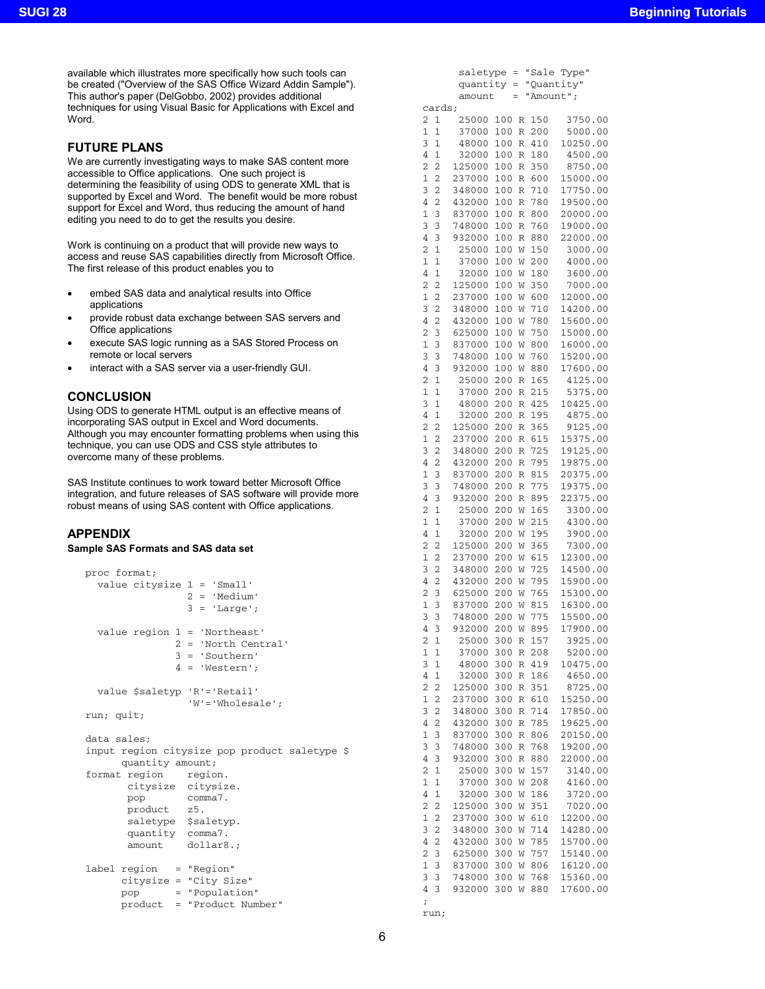available which illustrates more specifically how such tools can be created ("Overview of the SAS Office Wizard Addin Sample"). This author's paper (DelGobbo, 2002) provides additional techniques for using Visual Basic for Applications with Excel and Word.

## **FUTURE PLANS**

We are currently investigating ways to make SAS content more accessible to Office applications. One such project is determining the feasibility of using ODS to generate XML that is supported by Excel and Word. The benefit would be more robust support for Excel and Word, thus reducing the amount of hand editing you need to do to get the results you desire.

Work is continuing on a product that will provide new ways to access and reuse SAS capabilities directly from Microsoft Office. The first release of this product enables you to

- embed SAS data and analytical results into Office applications
- provide robust data exchange between SAS servers and Office applications
- execute SAS logic running as a SAS Stored Process on remote or local servers
- interact with a SAS server via a user-friendly GUI.

### **CONCLUSION**

Using ODS to generate HTML output is an effective means of incorporating SAS output in Excel and Word documents. Although you may encounter formatting problems when using this technique, you can use ODS and CSS style attributes to overcome many of these problems.

SAS Institute continues to work toward better Microsoft Office integration, and future releases of SAS software will provide more robust means of using SAS content with Office applications.

### **APPENDIX**

### **Sample SAS Formats and SAS data set**

|            | proc format;              |                                                                                                 |
|------------|---------------------------|-------------------------------------------------------------------------------------------------|
|            |                           | value citysize $1 = 'Small'$                                                                    |
|            |                           | $2 = 'Median'$                                                                                  |
|            |                           | $3 = 'Large';$                                                                                  |
|            |                           | value region $1 = 'Northeast'$<br>$2 = 'North Central'$<br>$3 = 'Southern'$<br>$4 = 'Western';$ |
|            |                           | value \$saletyp 'R'='Retail'<br>$W' = 'Whole scale'$                                            |
| run; quit; |                           |                                                                                                 |
|            | data sales;               |                                                                                                 |
|            |                           | input region citysize pop product saletype \$                                                   |
|            | quantity amount;          |                                                                                                 |
|            | format region region.     |                                                                                                 |
|            |                           | citysize citysize.                                                                              |
|            | pop comma7.               |                                                                                                 |
|            | product z5.               |                                                                                                 |
|            |                           | saletype \$saletyp.                                                                             |
|            | quantity comma7.          |                                                                                                 |
|            |                           | amount dollar8.;                                                                                |
|            | $label$ region = "Region" |                                                                                                 |
|            |                           | citysize = "City Size"                                                                          |
|            |                           | pop = "Population"                                                                              |
|            |                           | product = "Product Number"                                                                      |

|                                  | quantity         |            | Ξ      |            | "Quantity"           |
|----------------------------------|------------------|------------|--------|------------|----------------------|
|                                  | amount           |            |        | "Amount";  |                      |
| cards;                           |                  |            |        |            |                      |
| 2<br>1                           | 25000            | 100        | R      | 150        | 3750.00              |
| 1<br>1                           | 37000            | 100        | R      | 200        | 5000.00              |
| 3<br>1                           | 48000            | 100        | R      | 410        | 10250.00             |
| 4<br>1                           | 32000            | 100        | R      | 180        | 4500.00              |
| $\overline{c}$<br>2              | 125000           | 100        | R      | 350        | 8750.00              |
| $\mathbf{1}$<br>$\overline{c}$   | 237000           | 100        | R      | 600        | 15000.00             |
| $\overline{c}$<br>3              | 348000           | 100        | R      | 710        | 17750.00             |
| 4<br>2                           | 432000           | 100        | R      | 780        | 19500.00             |
| 1<br>3                           | 837000           | 100        | R      | 800        | 20000.00             |
| 3<br>3                           | 748000           | 100        | R      | 760        | 19000.00             |
| 4<br>3                           | 932000           | 100        | R      | 880        | 22000.00             |
| 2<br>1                           | 25000            | 100        | W      | 150        | 3000.00              |
| $\mathbf{1}$<br>1                | 37000            | 100        | W      | 200        | 4000.00              |
| 4<br>1<br>2<br>2                 | 32000<br>125000  | 100<br>100 | W      | 180<br>350 | 3600.00<br>7000.00   |
| 1<br>2                           | 237000           | 100        | W<br>W | 600        | 12000.00             |
| $\overline{\mathbf{c}}$<br>3     | 348000           | 100        | W      | 710        | 14200.00             |
| 4<br>$\overline{c}$              | 432000           | 100        | W      | 780        | 15600.00             |
| 2<br>3                           | 625000           | 100        | W      | 750        | 15000.00             |
| 1<br>3                           | 837000           | 100        | W      | 800        | 16000.00             |
| 3<br>3                           | 748000           | 100        | W      | 760        | 15200.00             |
| 4<br>3                           | 932000           | 100        | W      | 880        | 17600.00             |
| $\overline{c}$<br>1              | 25000            | 200        | R      | 165        | 4125.00              |
| 1<br>1                           | 37000            | 200        | R      | 215        | 5375.00              |
| 3<br>1                           | 48000            | 200        | R      | 425        | 10425.00             |
| $\mathbf 1$<br>4                 | 32000            | 200        | R      | 195        | 4875.00              |
| $\overline{c}$<br>2              | 125000           | 200        | R      | 365        | 9125.00              |
| 1<br>2                           | 237000           | 200        | R      | 615        | 15375.00             |
| 3<br>$\overline{c}$              | 348000           | 200        | R      | 725        | 19125.00             |
| 4<br>$\overline{c}$              | 432000           | 200        | R      | 795        | 19875.00             |
| 1<br>3                           | 837000           | 200        | R      | 815        | 20375.00             |
| 3<br>3                           | 748000           | 200        | R      | 775        | 19375.00             |
| 4<br>3                           | 932000           | 200        | R      | 895        | 22375.00             |
| 2<br>1                           | 25000            | 200        | W      | 165        | 3300.00              |
| 1<br>1                           | 37000            | 200        | W      | 215        | 4300.00              |
| 4<br>1                           | 32000            | 200        | W      | 195        | 3900.00              |
| $\overline{c}$<br>$\overline{c}$ | 125000           | 200        | W      | 365        | 7300.00              |
| 1<br>2                           | 237000           | 200        | W      | 615        | 12300.00             |
| 3<br>2                           | 348000           | 200        | W      | 725        | 14500.00             |
| 4<br>2<br>$\overline{c}$<br>3    | 432000<br>625000 | 200<br>200 | W      | 795        | 15900.00             |
| $\mathbf{1}$<br>3                | 837000           | 200        | W<br>W | 765<br>815 | 15300.00<br>16300.00 |
| 3<br>3                           | 748000           | 200        | W      | 775        | 15500.00             |
| 4<br>3                           | 932000           | 200        | W      | 895        | 17900.00             |
| $\overline{c}$<br>$\mathbf{1}$   | 25000            | 300        | R      | 157        | 3925.00              |
| 1<br>1                           | 37000            | 300        | R      | 208        | 5200.00              |
| $\mathbf 1$<br>3                 | 48000            | 300        | R      | 419        | 10475.00             |
| 4<br>$\mathbf 1$                 | 32000            | 300        | R      | 186        | 4650.00              |
| $\overline{c}$<br>$\overline{c}$ | 125000           | 300        | R      | 351        | 8725.00              |
| 1<br>$\overline{c}$              | 237000           | 300        | R      | 610        | 15250.00             |
| 3<br>$\overline{c}$              | 348000           | 300        | R      | 714        | 17850.00             |
| 4<br>2                           | 432000           | 300        | R      | 785        | 19625.00             |
| 1<br>3                           | 837000           | 300        | R      | 806        | 20150.00             |
| 3<br>3                           | 748000           | 300        | R      | 768        | 19200.00             |
| 4<br>3                           | 932000           | 300        | R      | 880        | 22000.00             |
| $\overline{c}$<br>1              | 25000            | 300        | W      | 157        | 3140.00              |
| $\mathbf 1$<br>1                 | 37000            | 300        | W      | 208        | 4160.00              |
| $\overline{4}$<br>$\mathbf 1$    | 32000            | 300        | W      | 186        | 3720.00              |
| 2<br>$\overline{c}$              | 125000           | 300        | W      | 351        | 7020.00              |
| $\mathbf{1}$<br>$\overline{c}$   | 237000           | 300        | W      | 610        | 12200.00             |
| $\overline{\mathbf{c}}$<br>3     | 348000           | 300        | W      | 714        | 14280.00             |
| $\overline{c}$<br>4              | 432000           | 300        | W      | 785        | 15700.00             |
| $\overline{c}$<br>3              | 625000           | 300        | W      | 757        | 15140.00             |
| 1<br>3<br>3<br>3                 | 837000<br>748000 | 300<br>300 | W<br>W | 806<br>768 | 16120.00<br>15360.00 |
| 4<br>3                           | 932000           | 300        | W      | 880        | 17600.00             |
| ;                                |                  |            |        |            |                      |
| run;                             |                  |            |        |            |                      |

saletype = "Sale Type"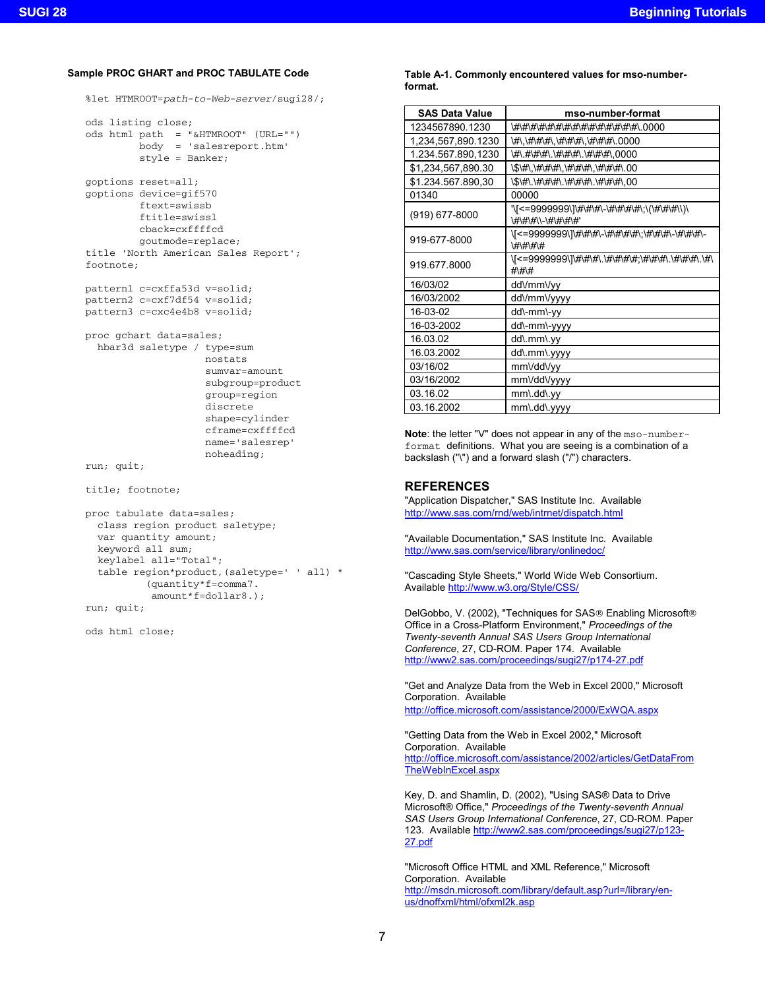### **Sample PROC GHART and PROC TABULATE Code**

```
%let HTMROOT=path-to-Web-server/sugi28/;
```

```
ods listing close;
ods html path = "&HTMROOT" (URL="")
        body = 'salesreport.htm'
         style = Banker;
goptions reset=all;
goptions device=gif570
         ftext=swissb
         ftitle=swissl
         cback=cxffffcd
         goutmode=replace;
title 'North American Sales Report';
footnote;
pattern1 c=cxffa53d v=solid;
```

```
pattern2 c=cxf7df54 v=solid;
pattern3 c=cxc4e4b8 v=solid;
```

```
proc gchart data=sales;
 hbar3d saletype / type=sum
                    nostats
                    sumvar=amount
                    subgroup=product
                    group=region
                    discrete
                    shape=cylinder
                    cframe=cxffffcd
                    name='salesrep'
```

```
run; quit;
```

```
title; footnote;
```

```
proc tabulate data=sales;
 class region product saletype;
  var quantity amount;
 keyword all sum;
  keylabel all="Total";
  table region*product,(saletype=' ' all) *
          (quantity*f=comma7.
           amount*f=dollar8.);
run; quit;
```
noheading;

ods html close;

#### **Table A-1. Commonly encountered values for mso-numberformat.**

| <b>SAS Data Value</b> | mso-number-format                                                  |
|-----------------------|--------------------------------------------------------------------|
| 1234567890.1230       | \#\#\#\#\#\#\#\#\#\#\#\#\#\#\#\#\ 0000                             |
| 1,234,567,890.1230    | \#\,\#\#\#\,\#\#\#\,\#\#\#\.0000                                   |
| 1.234.567.890,1230    | \#\.#\#\#\.\#\#\#\.\#\#\#\.0000                                    |
| \$1,234,567,890.30    | \\$\#\,\#\#\#\,\#\#\#\,\#\#\#\#\.00                                |
| \$1.234.567.890,30    | \\$\#\.\#\#\#\.\#\#\#\.\#\#\#\,00                                  |
| 01340                 | 00000                                                              |
| (919) 677-8000        | '\[<=9999999\]\#\#\#\-\#\#\#\#\;\(\#\#\#\\)\<br>\#\#\#\\-\#\#\#\#' |
| 919-677-8000          | \[<=9999999\]\#\#\#\-\#\#\#\#\;\#\#\#\-\#\#\#\-<br>\#\#\#\#        |
| 919 677 8000          | \[<=9999999\]\#\#\#\.\#\#\#\#;\#\#\#\.\#\#\#\.\#\<br>$# \H \H$     |
| 16/03/02              | dd\/mm\/yy                                                         |
| 16/03/2002            | dd∨mmVyyyy                                                         |
| 16-03-02              | dd\-mm\-yy                                                         |
| 16-03-2002            | dd\-mm\-yyyy                                                       |
| 16.03.02              | dd\.mm\.yy                                                         |
| 16.03.2002            | dd\.mm\.yyyy                                                       |
| 03/16/02              | mm\/dd\/yy                                                         |
| 03/16/2002            | mm\/dd\/yyyy                                                       |
| 03.16.02              | mm\.dd\.yy                                                         |
| 03.16.2002            | mm\.dd\.yyyy                                                       |

**Note**: the letter "V" does not appear in any of the mso-numberformat definitions. What you are seeing is a combination of a backslash ("\") and a forward slash ("/") characters.

# **REFERENCES**

"Application Dispatcher," SAS Institute Inc. Available http://www.sas.com/rnd/web/intrnet/dispatch.html

"Available Documentation," SAS Institute Inc. Available http://www.sas.com/service/library/onlinedoc/

"Cascading Style Sheets," World Wide Web Consortium. Available http://www.w3.org/Style/CSS/

DelGobbo, V. (2002), "Techniques for SAS® Enabling Microsoft® Office in a Cross-Platform Environment," *Proceedings of the Twenty-seventh Annual SAS Users Group International Conference*, 27, CD-ROM. Paper 174. Available http://www2.sas.com/proceedings/sugi27/p174-27.pdf

"Get and Analyze Data from the Web in Excel 2000," Microsoft Corporation. Available http://office.microsoft.com/assistance/2000/ExWQA.aspx

"Getting Data from the Web in Excel 2002," Microsoft Corporation. Available http://office.microsoft.com/assistance/2002/articles/GetDataFrom TheWebInExcel.aspx

Key, D. and Shamlin, D. (2002), "Using SAS® Data to Drive Microsoft® Office," *Proceedings of the Twenty-seventh Annual SAS Users Group International Conference*, 27, CD-ROM. Paper 123. Available http://www2.sas.com/proceedings/sugi27/p123- 27.pdf

"Microsoft Office HTML and XML Reference," Microsoft Corporation. Available http://msdn.microsoft.com/library/default.asp?url=/library/enus/dnoffxml/html/ofxml2k.asp